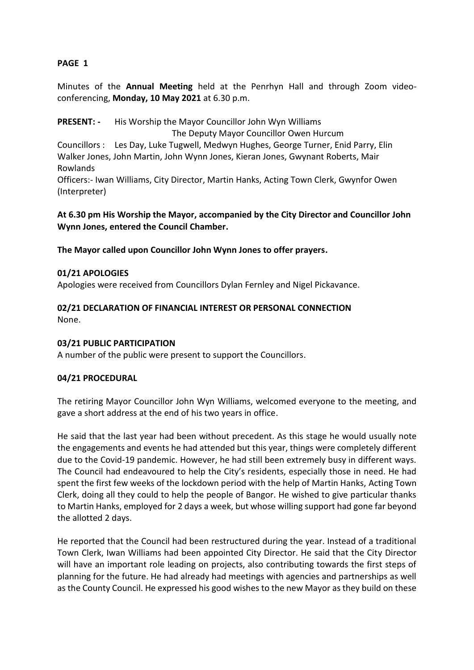# **PAGE 1**

Minutes of the **Annual Meeting** held at the Penrhyn Hall and through Zoom videoconferencing, **Monday, 10 May 2021** at 6.30 p.m.

**PRESENT: -** His Worship the Mayor Councillor John Wyn Williams The Deputy Mayor Councillor Owen Hurcum Councillors : Les Day, Luke Tugwell, Medwyn Hughes, George Turner, Enid Parry, Elin Walker Jones, John Martin, John Wynn Jones, Kieran Jones, Gwynant Roberts, Mair Rowlands Officers:- Iwan Williams, City Director, Martin Hanks, Acting Town Clerk, Gwynfor Owen (Interpreter)

**At 6.30 pm His Worship the Mayor, accompanied by the City Director and Councillor John Wynn Jones, entered the Council Chamber.**

**The Mayor called upon Councillor John Wynn Jones to offer prayers.**

#### **01/21 APOLOGIES**

Apologies were received from Councillors Dylan Fernley and Nigel Pickavance.

## **02/21 DECLARATION OF FINANCIAL INTEREST OR PERSONAL CONNECTION** None.

#### **03/21 PUBLIC PARTICIPATION**

A number of the public were present to support the Councillors.

#### **04/21 PROCEDURAL**

The retiring Mayor Councillor John Wyn Williams, welcomed everyone to the meeting, and gave a short address at the end of his two years in office.

He said that the last year had been without precedent. As this stage he would usually note the engagements and events he had attended but this year, things were completely different due to the Covid-19 pandemic. However, he had still been extremely busy in different ways. The Council had endeavoured to help the City's residents, especially those in need. He had spent the first few weeks of the lockdown period with the help of Martin Hanks, Acting Town Clerk, doing all they could to help the people of Bangor. He wished to give particular thanks to Martin Hanks, employed for 2 days a week, but whose willing support had gone far beyond the allotted 2 days.

He reported that the Council had been restructured during the year. Instead of a traditional Town Clerk, Iwan Williams had been appointed City Director. He said that the City Director will have an important role leading on projects, also contributing towards the first steps of planning for the future. He had already had meetings with agencies and partnerships as well as the County Council. He expressed his good wishes to the new Mayor as they build on these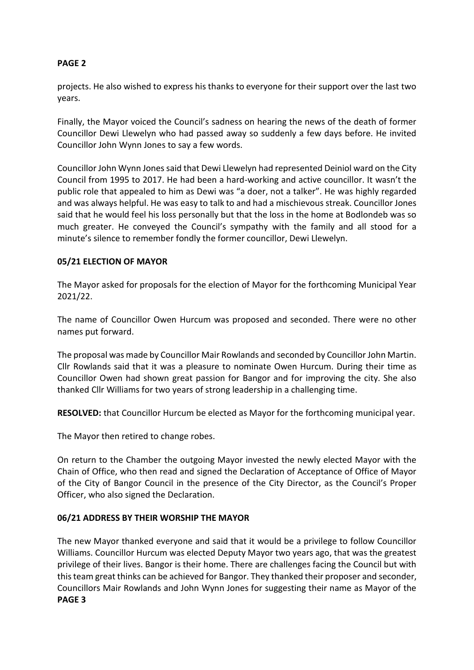# **PAGE 2**

projects. He also wished to express his thanks to everyone for their support over the last two years.

Finally, the Mayor voiced the Council's sadness on hearing the news of the death of former Councillor Dewi Llewelyn who had passed away so suddenly a few days before. He invited Councillor John Wynn Jones to say a few words.

Councillor John Wynn Jones said that Dewi Llewelyn had represented Deiniol ward on the City Council from 1995 to 2017. He had been a hard-working and active councillor. It wasn't the public role that appealed to him as Dewi was "a doer, not a talker". He was highly regarded and was always helpful. He was easy to talk to and had a mischievous streak. Councillor Jones said that he would feel his loss personally but that the loss in the home at Bodlondeb was so much greater. He conveyed the Council's sympathy with the family and all stood for a minute's silence to remember fondly the former councillor, Dewi Llewelyn.

## **05/21 ELECTION OF MAYOR**

The Mayor asked for proposals for the election of Mayor for the forthcoming Municipal Year 2021/22.

The name of Councillor Owen Hurcum was proposed and seconded. There were no other names put forward.

The proposal was made by Councillor Mair Rowlands and seconded by Councillor John Martin. Cllr Rowlands said that it was a pleasure to nominate Owen Hurcum. During their time as Councillor Owen had shown great passion for Bangor and for improving the city. She also thanked Cllr Williams for two years of strong leadership in a challenging time.

**RESOLVED:** that Councillor Hurcum be elected as Mayor for the forthcoming municipal year.

The Mayor then retired to change robes.

On return to the Chamber the outgoing Mayor invested the newly elected Mayor with the Chain of Office, who then read and signed the Declaration of Acceptance of Office of Mayor of the City of Bangor Council in the presence of the City Director, as the Council's Proper Officer, who also signed the Declaration.

#### **06/21 ADDRESS BY THEIR WORSHIP THE MAYOR**

The new Mayor thanked everyone and said that it would be a privilege to follow Councillor Williams. Councillor Hurcum was elected Deputy Mayor two years ago, that was the greatest privilege of their lives. Bangor is their home. There are challenges facing the Council but with this team great thinks can be achieved for Bangor. They thanked their proposer and seconder, Councillors Mair Rowlands and John Wynn Jones for suggesting their name as Mayor of the **PAGE 3**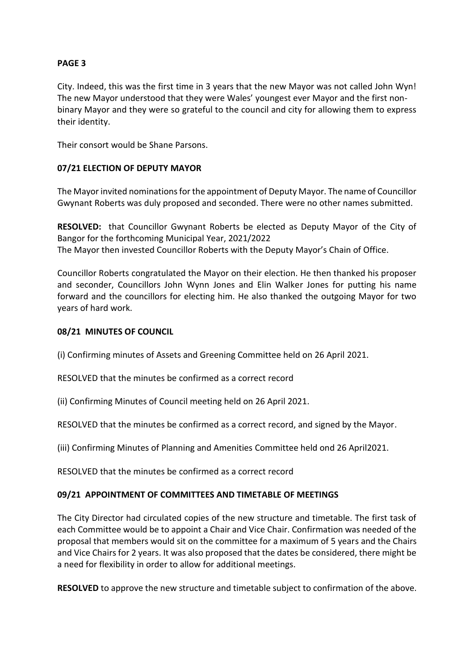# **PAGE 3**

City. Indeed, this was the first time in 3 years that the new Mayor was not called John Wyn! The new Mayor understood that they were Wales' youngest ever Mayor and the first nonbinary Mayor and they were so grateful to the council and city for allowing them to express their identity.

Their consort would be Shane Parsons.

## **07/21 ELECTION OF DEPUTY MAYOR**

The Mayor invited nominations for the appointment of Deputy Mayor. The name of Councillor Gwynant Roberts was duly proposed and seconded. There were no other names submitted.

**RESOLVED:** that Councillor Gwynant Roberts be elected as Deputy Mayor of the City of Bangor for the forthcoming Municipal Year, 2021/2022 The Mayor then invested Councillor Roberts with the Deputy Mayor's Chain of Office.

Councillor Roberts congratulated the Mayor on their election. He then thanked his proposer and seconder, Councillors John Wynn Jones and Elin Walker Jones for putting his name forward and the councillors for electing him. He also thanked the outgoing Mayor for two years of hard work.

## **08/21 MINUTES OF COUNCIL**

(i) Confirming minutes of Assets and Greening Committee held on 26 April 2021.

RESOLVED that the minutes be confirmed as a correct record

(ii) Confirming Minutes of Council meeting held on 26 April 2021.

RESOLVED that the minutes be confirmed as a correct record, and signed by the Mayor.

(iii) Confirming Minutes of Planning and Amenities Committee held ond 26 April2021.

RESOLVED that the minutes be confirmed as a correct record

#### **09/21 APPOINTMENT OF COMMITTEES AND TIMETABLE OF MEETINGS**

The City Director had circulated copies of the new structure and timetable. The first task of each Committee would be to appoint a Chair and Vice Chair. Confirmation was needed of the proposal that members would sit on the committee for a maximum of 5 years and the Chairs and Vice Chairs for 2 years. It was also proposed that the dates be considered, there might be a need for flexibility in order to allow for additional meetings.

**RESOLVED** to approve the new structure and timetable subject to confirmation of the above.